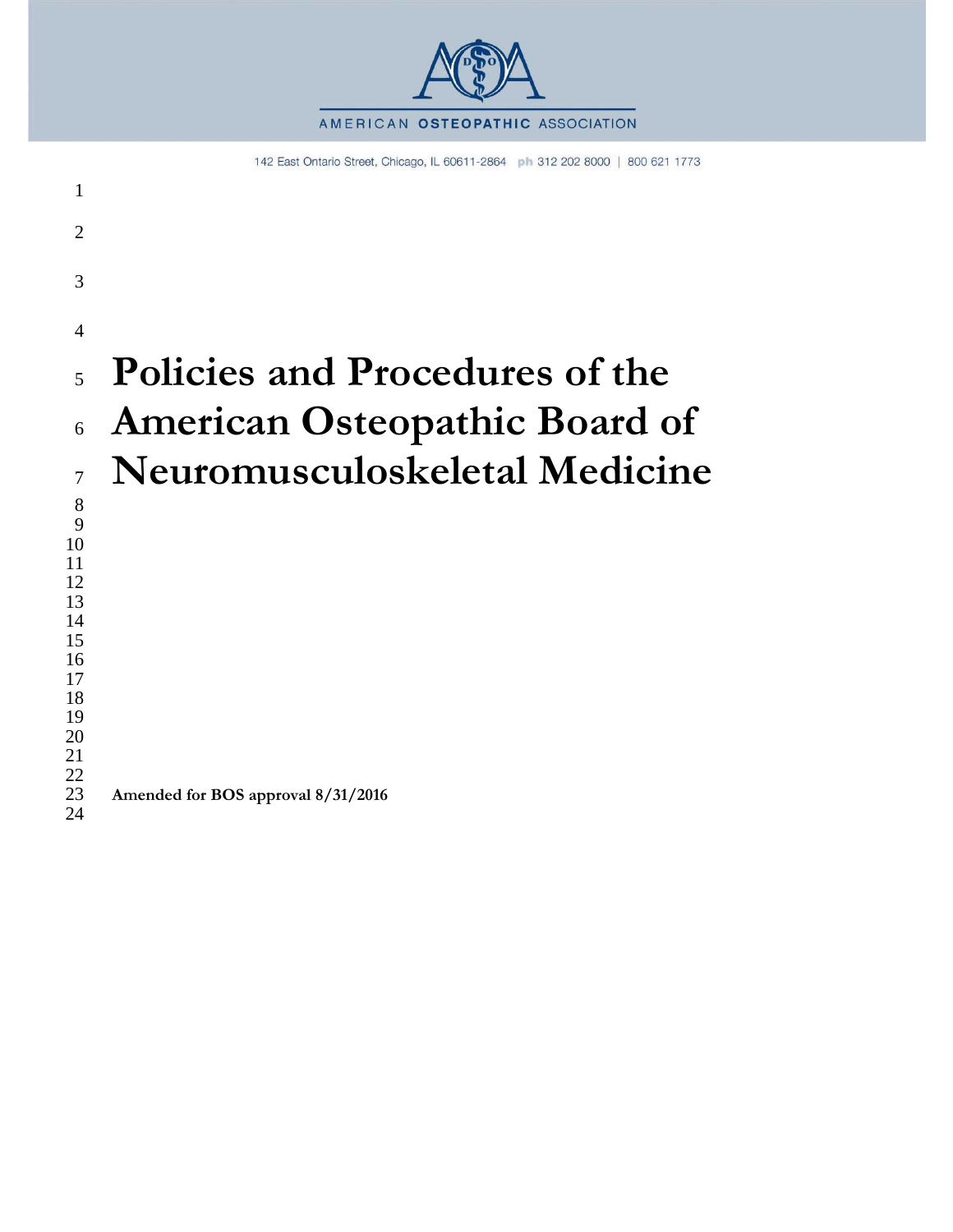

142 East Ontario Street, Chicago, IL 60611-2864 ph 312 202 8000 | 800 621 1773

| 1                        |                                      |
|--------------------------|--------------------------------------|
| $\overline{2}$           |                                      |
| 3                        |                                      |
| $\overline{4}$           |                                      |
| $\overline{\phantom{0}}$ | Policies and Procedures of the       |
| 6                        | <b>American Osteopathic Board of</b> |
| $\overline{7}$           | Neuromusculoskeletal Medicine        |
| 8<br>9                   |                                      |
| 10<br>11                 |                                      |
| 12                       |                                      |
| 13<br>14                 |                                      |
| 15                       |                                      |
| 16                       |                                      |
| 17<br>18                 |                                      |
| 19                       |                                      |
| 20                       |                                      |
| 21<br>22                 |                                      |
| 23<br>24                 | Amended for BOS approval 8/31/2016   |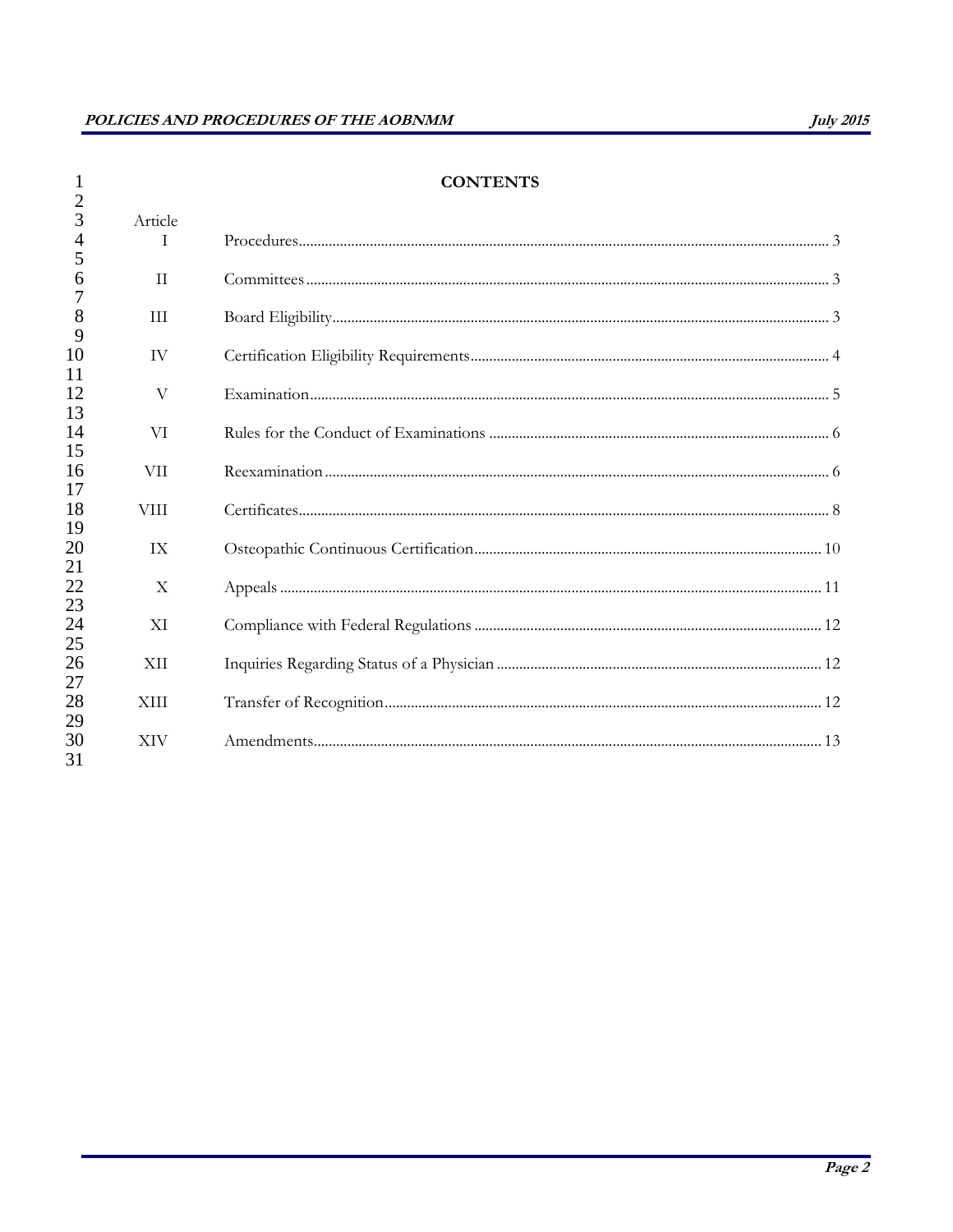|                     |                           | <b>CONTENTS</b> |
|---------------------|---------------------------|-----------------|
| $\overline{2}$<br>3 | Article                   |                 |
| 4                   | T                         |                 |
| 5                   |                           |                 |
| 6                   | $\mathbf{H}$              |                 |
| 8                   | <b>III</b>                |                 |
| 9                   |                           |                 |
| 10<br>11            | <b>IV</b>                 |                 |
| 12<br>13            | V                         |                 |
| 14<br>15            | VI                        |                 |
| 16<br>17            | <b>VII</b>                |                 |
| 18<br>19            | <b>VIII</b>               |                 |
| 20<br>21            | IX                        |                 |
| 22<br>23            | $\boldsymbol{\mathrm{X}}$ |                 |
| 24<br>25            | XI                        |                 |
| 26<br>27            | <b>XII</b>                |                 |
| 28<br>29            | <b>XIII</b>               |                 |
| 30<br>31            | <b>XIV</b>                |                 |

# **CONTENTS**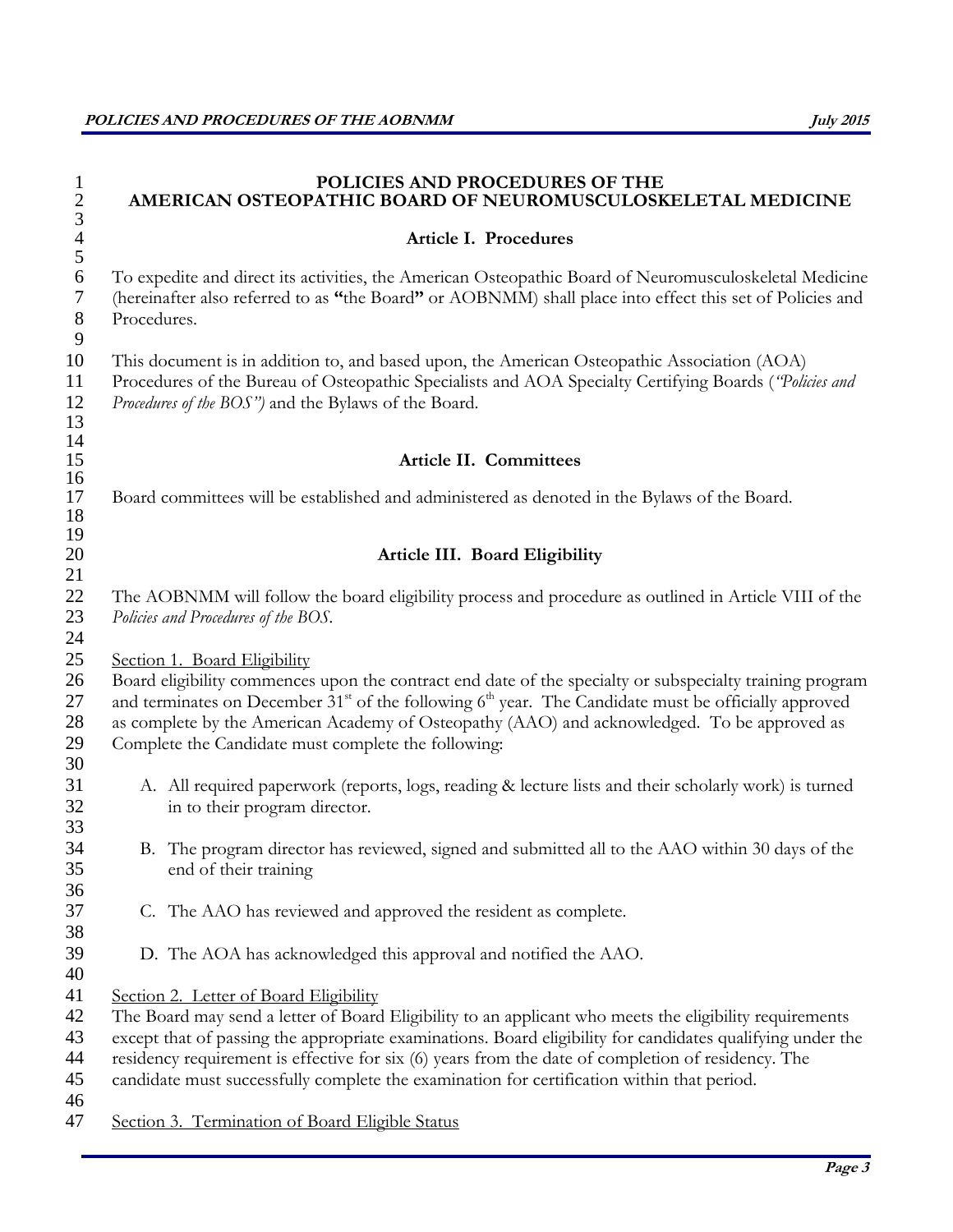| $\mathbf{1}$<br>$\overline{c}$<br>$\mathfrak{Z}$ | POLICIES AND PROCEDURES OF THE<br>AMERICAN OSTEOPATHIC BOARD OF NEUROMUSCULOSKELETAL MEDICINE                                                                                                                                                                                                                                                                                                              |
|--------------------------------------------------|------------------------------------------------------------------------------------------------------------------------------------------------------------------------------------------------------------------------------------------------------------------------------------------------------------------------------------------------------------------------------------------------------------|
| $\overline{4}$<br>5                              | Article I. Procedures                                                                                                                                                                                                                                                                                                                                                                                      |
| 6<br>7<br>$8\,$<br>9                             | To expedite and direct its activities, the American Osteopathic Board of Neuromusculoskeletal Medicine<br>(hereinafter also referred to as "the Board" or AOBNMM) shall place into effect this set of Policies and<br>Procedures.                                                                                                                                                                          |
| 10<br>11<br>12<br>13                             | This document is in addition to, and based upon, the American Osteopathic Association (AOA)<br>Procedures of the Bureau of Osteopathic Specialists and AOA Specialty Certifying Boards ("Policies and<br>Procedures of the BOS") and the Bylaws of the Board.                                                                                                                                              |
| 14<br>15                                         | Article II. Committees                                                                                                                                                                                                                                                                                                                                                                                     |
| 16                                               |                                                                                                                                                                                                                                                                                                                                                                                                            |
| 17<br>18<br>19                                   | Board committees will be established and administered as denoted in the Bylaws of the Board.                                                                                                                                                                                                                                                                                                               |
| 20                                               | Article III. Board Eligibility                                                                                                                                                                                                                                                                                                                                                                             |
| 21                                               |                                                                                                                                                                                                                                                                                                                                                                                                            |
| 22<br>23<br>24                                   | The AOBNMM will follow the board eligibility process and procedure as outlined in Article VIII of the<br>Policies and Procedures of the BOS.                                                                                                                                                                                                                                                               |
| 25<br>26<br>27<br>28<br>29                       | Section 1. Board Eligibility<br>Board eligibility commences upon the contract end date of the specialty or subspecialty training program<br>and terminates on December $31st$ of the following $6th$ year. The Candidate must be officially approved<br>as complete by the American Academy of Osteopathy (AAO) and acknowledged. To be approved as<br>Complete the Candidate must complete the following: |
| 30<br>31<br>32<br>33                             | A. All required paperwork (reports, logs, reading & lecture lists and their scholarly work) is turned<br>in to their program director.                                                                                                                                                                                                                                                                     |
| 34<br>35<br>36                                   | B. The program director has reviewed, signed and submitted all to the AAO within 30 days of the<br>end of their training                                                                                                                                                                                                                                                                                   |
| 37<br>38                                         | C. The AAO has reviewed and approved the resident as complete.                                                                                                                                                                                                                                                                                                                                             |
| 39<br>40                                         | D. The AOA has acknowledged this approval and notified the AAO.                                                                                                                                                                                                                                                                                                                                            |
| 41                                               | Section 2. Letter of Board Eligibility                                                                                                                                                                                                                                                                                                                                                                     |
| 42                                               | The Board may send a letter of Board Eligibility to an applicant who meets the eligibility requirements                                                                                                                                                                                                                                                                                                    |
| 43                                               | except that of passing the appropriate examinations. Board eligibility for candidates qualifying under the                                                                                                                                                                                                                                                                                                 |
| 44                                               | residency requirement is effective for six (6) years from the date of completion of residency. The                                                                                                                                                                                                                                                                                                         |
| 45                                               | candidate must successfully complete the examination for certification within that period.                                                                                                                                                                                                                                                                                                                 |
| 46                                               |                                                                                                                                                                                                                                                                                                                                                                                                            |
| 47                                               | Section 3. Termination of Board Eligible Status                                                                                                                                                                                                                                                                                                                                                            |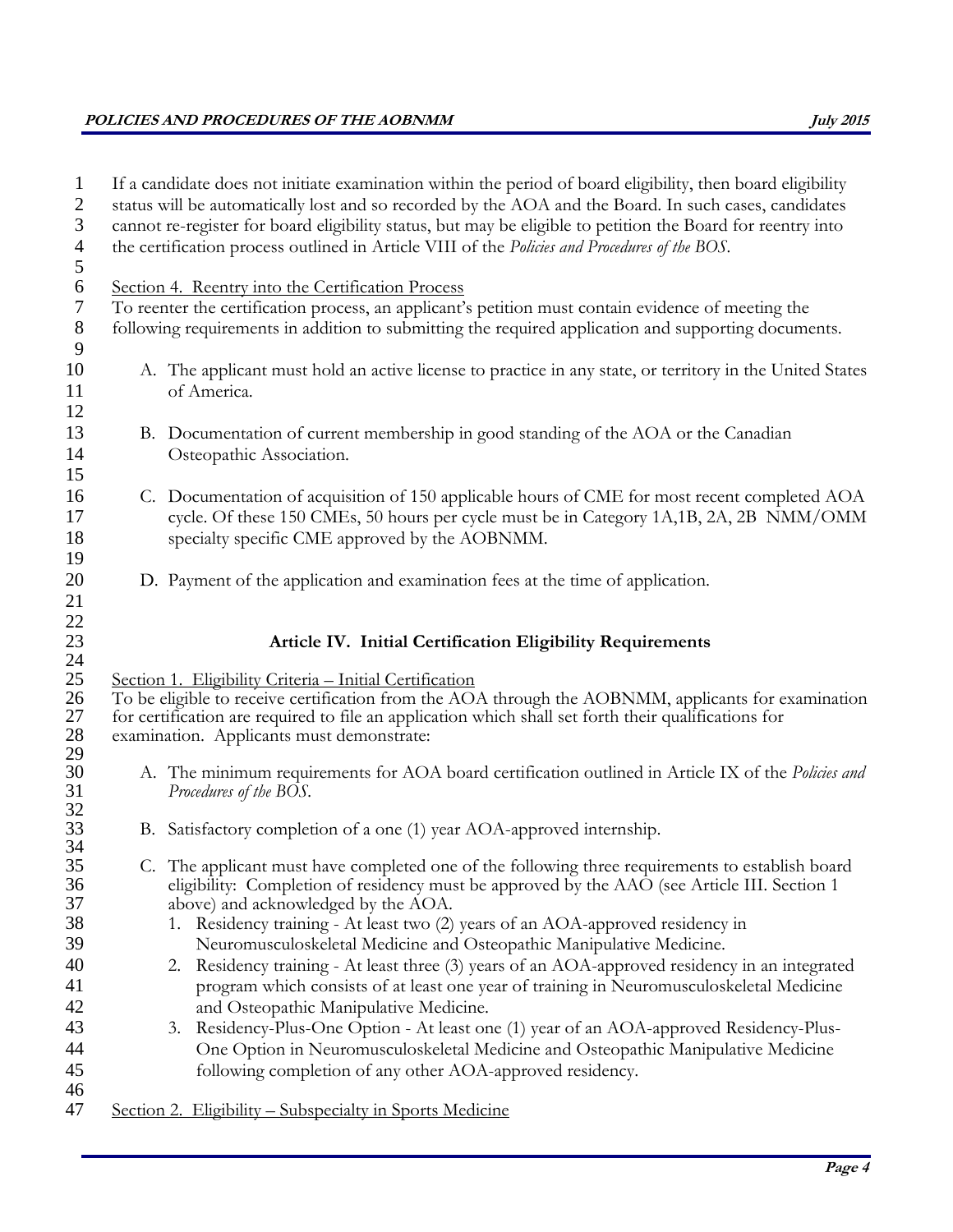# **POLICIES AND PROCEDURES OF THE AOBNMM July 2015**

| $\mathbf{1}$<br>$\overline{2}$ | If a candidate does not initiate examination within the period of board eligibility, then board eligibility<br>status will be automatically lost and so recorded by the AOA and the Board. In such cases, candidates |
|--------------------------------|----------------------------------------------------------------------------------------------------------------------------------------------------------------------------------------------------------------------|
| $\mathfrak{Z}$                 | cannot re-register for board eligibility status, but may be eligible to petition the Board for reentry into                                                                                                          |
| $\overline{4}$                 | the certification process outlined in Article VIII of the Policies and Procedures of the BOS.                                                                                                                        |
| $\mathfrak{S}$                 |                                                                                                                                                                                                                      |
| $\sqrt{6}$                     | Section 4. Reentry into the Certification Process                                                                                                                                                                    |
| $\tau$                         | To reenter the certification process, an applicant's petition must contain evidence of meeting the                                                                                                                   |
| $8\,$                          | following requirements in addition to submitting the required application and supporting documents.                                                                                                                  |
| 9                              |                                                                                                                                                                                                                      |
| 10                             | A. The applicant must hold an active license to practice in any state, or territory in the United States                                                                                                             |
| 11                             | of America.                                                                                                                                                                                                          |
| 12                             |                                                                                                                                                                                                                      |
| 13                             | B. Documentation of current membership in good standing of the AOA or the Canadian                                                                                                                                   |
| 14                             | Osteopathic Association.                                                                                                                                                                                             |
| 15                             |                                                                                                                                                                                                                      |
| 16                             | C. Documentation of acquisition of 150 applicable hours of CME for most recent completed AOA                                                                                                                         |
| 17                             | cycle. Of these 150 CMEs, 50 hours per cycle must be in Category 1A, 1B, 2A, 2B NMM/OMM                                                                                                                              |
| 18                             | specialty specific CME approved by the AOBNMM.                                                                                                                                                                       |
| 19                             |                                                                                                                                                                                                                      |
| 20                             | D. Payment of the application and examination fees at the time of application.                                                                                                                                       |
| 21                             |                                                                                                                                                                                                                      |
| $22\,$                         |                                                                                                                                                                                                                      |
| 23                             | Article IV. Initial Certification Eligibility Requirements                                                                                                                                                           |
| 24<br>25                       | Section 1. Eligibility Criteria - Initial Certification                                                                                                                                                              |
| 26                             | To be eligible to receive certification from the AOA through the AOBNMM, applicants for examination                                                                                                                  |
| 27                             | for certification are required to file an application which shall set forth their qualifications for                                                                                                                 |
| 28                             | examination. Applicants must demonstrate:                                                                                                                                                                            |
| 29                             |                                                                                                                                                                                                                      |
| 30                             | A. The minimum requirements for AOA board certification outlined in Article IX of the Policies and                                                                                                                   |
| 31                             | Procedures of the BOS.                                                                                                                                                                                               |
| 32                             |                                                                                                                                                                                                                      |
| 33<br>34                       | B. Satisfactory completion of a one (1) year AOA-approved internship.                                                                                                                                                |
| 35                             | C. The applicant must have completed one of the following three requirements to establish board                                                                                                                      |
| 36                             | eligibility: Completion of residency must be approved by the AAO (see Article III. Section 1                                                                                                                         |
| 37                             | above) and acknowledged by the AOA.                                                                                                                                                                                  |
| 38                             | 1. Residency training - At least two (2) years of an AOA-approved residency in                                                                                                                                       |
| 39                             | Neuromusculoskeletal Medicine and Osteopathic Manipulative Medicine.                                                                                                                                                 |
| 40                             | Residency training - At least three (3) years of an AOA-approved residency in an integrated<br>2.                                                                                                                    |
| 41                             | program which consists of at least one year of training in Neuromusculoskeletal Medicine                                                                                                                             |
| 42                             | and Osteopathic Manipulative Medicine.                                                                                                                                                                               |
| 43                             | Residency-Plus-One Option - At least one (1) year of an AOA-approved Residency-Plus-<br>3.                                                                                                                           |
| 44                             | One Option in Neuromusculoskeletal Medicine and Osteopathic Manipulative Medicine                                                                                                                                    |
| 45                             | following completion of any other AOA-approved residency.                                                                                                                                                            |
| 46                             |                                                                                                                                                                                                                      |
| 47                             | Section 2. Eligibility – Subspecialty in Sports Medicine                                                                                                                                                             |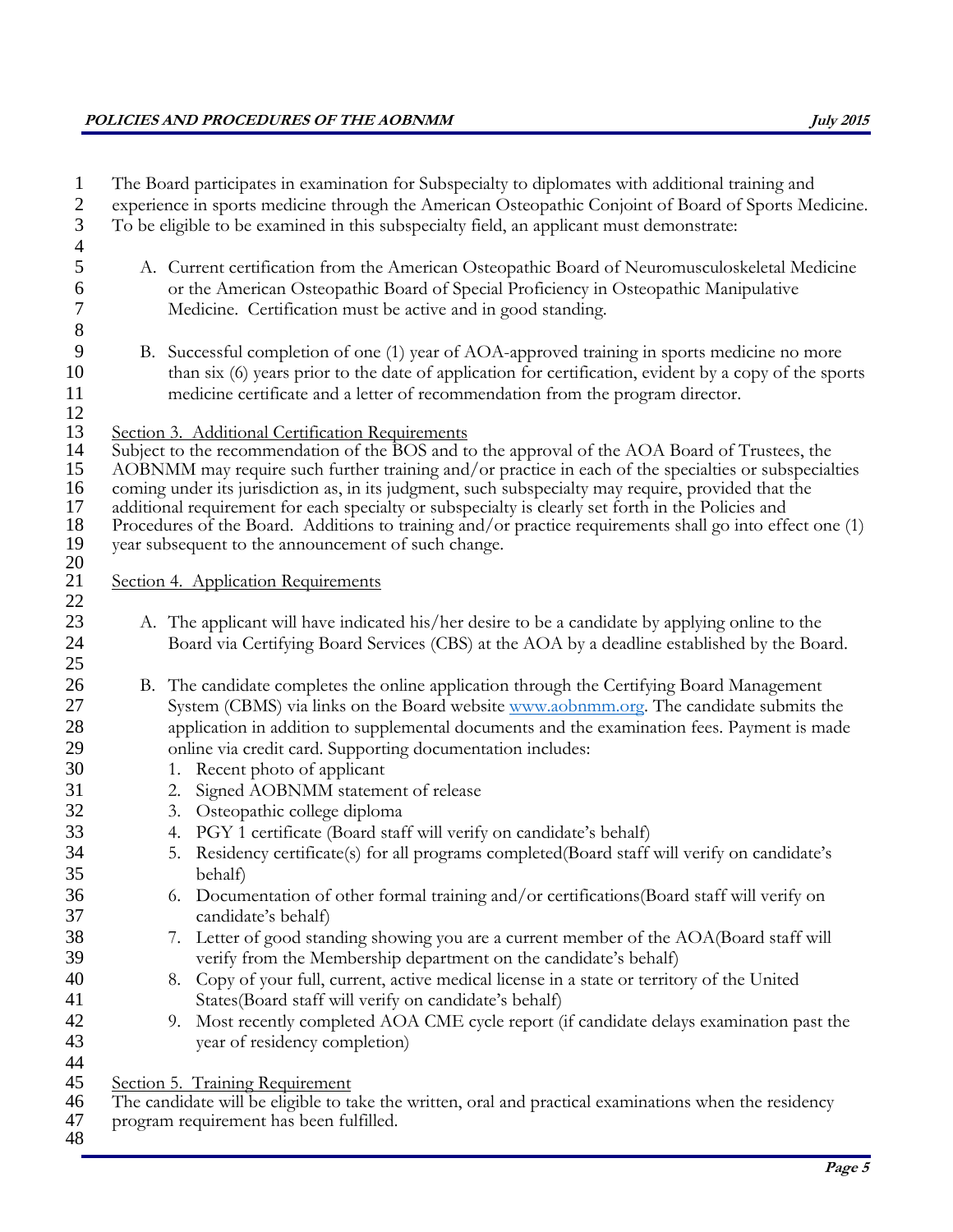| $\mathbf{1}$<br>$\mathbf{2}$                                                                 | The Board participates in examination for Subspecialty to diplomates with additional training and<br>experience in sports medicine through the American Osteopathic Conjoint of Board of Sports Medicine.                                                                                                                                                                                                                                                                                                                                                                                                                                                                                                                                                                                                                                                                                                                                                                                                                                                                                                      |
|----------------------------------------------------------------------------------------------|----------------------------------------------------------------------------------------------------------------------------------------------------------------------------------------------------------------------------------------------------------------------------------------------------------------------------------------------------------------------------------------------------------------------------------------------------------------------------------------------------------------------------------------------------------------------------------------------------------------------------------------------------------------------------------------------------------------------------------------------------------------------------------------------------------------------------------------------------------------------------------------------------------------------------------------------------------------------------------------------------------------------------------------------------------------------------------------------------------------|
| $\mathfrak{Z}$                                                                               | To be eligible to be examined in this subspecialty field, an applicant must demonstrate:                                                                                                                                                                                                                                                                                                                                                                                                                                                                                                                                                                                                                                                                                                                                                                                                                                                                                                                                                                                                                       |
| $\overline{4}$<br>5<br>6<br>$\boldsymbol{7}$<br>$8\,$                                        | A. Current certification from the American Osteopathic Board of Neuromusculoskeletal Medicine<br>or the American Osteopathic Board of Special Proficiency in Osteopathic Manipulative<br>Medicine. Certification must be active and in good standing.                                                                                                                                                                                                                                                                                                                                                                                                                                                                                                                                                                                                                                                                                                                                                                                                                                                          |
| 9<br>10<br>11<br>12                                                                          | B. Successful completion of one (1) year of AOA-approved training in sports medicine no more<br>than six (6) years prior to the date of application for certification, evident by a copy of the sports<br>medicine certificate and a letter of recommendation from the program director.                                                                                                                                                                                                                                                                                                                                                                                                                                                                                                                                                                                                                                                                                                                                                                                                                       |
| 13<br>14<br>15<br>16<br>17<br>18<br>19<br>20                                                 | Section 3. Additional Certification Requirements<br>Subject to the recommendation of the BOS and to the approval of the AOA Board of Trustees, the<br>AOBNMM may require such further training and/or practice in each of the specialties or subspecialties<br>coming under its jurisdiction as, in its judgment, such subspecialty may require, provided that the<br>additional requirement for each specialty or subspecialty is clearly set forth in the Policies and<br>Procedures of the Board. Additions to training and/or practice requirements shall go into effect one (1)<br>year subsequent to the announcement of such change.                                                                                                                                                                                                                                                                                                                                                                                                                                                                    |
| 21                                                                                           | Section 4. Application Requirements                                                                                                                                                                                                                                                                                                                                                                                                                                                                                                                                                                                                                                                                                                                                                                                                                                                                                                                                                                                                                                                                            |
| 22<br>23<br>24<br>25                                                                         | A. The applicant will have indicated his/her desire to be a candidate by applying online to the<br>Board via Certifying Board Services (CBS) at the AOA by a deadline established by the Board.                                                                                                                                                                                                                                                                                                                                                                                                                                                                                                                                                                                                                                                                                                                                                                                                                                                                                                                |
| 26<br>27<br>28<br>29<br>30<br>31<br>32<br>33<br>34<br>35<br>36<br>37<br>38<br>39<br>40<br>41 | B. The candidate completes the online application through the Certifying Board Management<br>System (CBMS) via links on the Board website www.aobnmm.org. The candidate submits the<br>application in addition to supplemental documents and the examination fees. Payment is made<br>online via credit card. Supporting documentation includes:<br>Recent photo of applicant<br>1.<br>Signed AOBNMM statement of release<br>2.<br>Osteopathic college diploma<br>3.<br>PGY 1 certificate (Board staff will verify on candidate's behalf)<br>4.<br>5. Residency certificate(s) for all programs completed(Board staff will verify on candidate's<br>behalf)<br>Documentation of other formal training and/or certifications (Board staff will verify on<br>6.<br>candidate's behalf)<br>Letter of good standing showing you are a current member of the AOA(Board staff will<br>7.<br>verify from the Membership department on the candidate's behalf)<br>8. Copy of your full, current, active medical license in a state or territory of the United<br>States(Board staff will verify on candidate's behalf) |
| 42<br>43                                                                                     | 9. Most recently completed AOA CME cycle report (if candidate delays examination past the<br>year of residency completion)                                                                                                                                                                                                                                                                                                                                                                                                                                                                                                                                                                                                                                                                                                                                                                                                                                                                                                                                                                                     |
| 44<br>45<br>46<br>47<br>48                                                                   | Section 5. Training Requirement<br>The candidate will be eligible to take the written, oral and practical examinations when the residency<br>program requirement has been fulfilled.                                                                                                                                                                                                                                                                                                                                                                                                                                                                                                                                                                                                                                                                                                                                                                                                                                                                                                                           |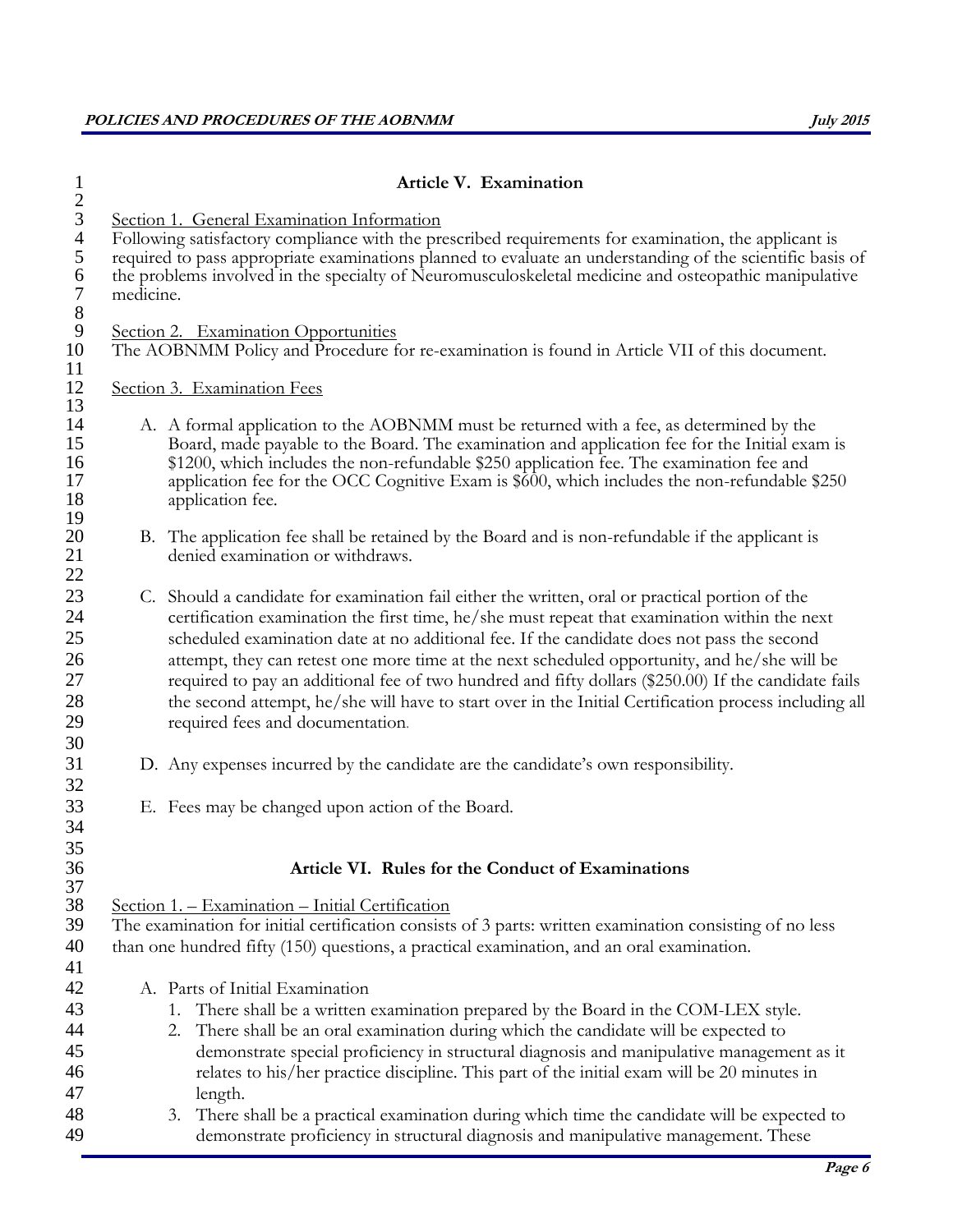|           | Article V. Examination                                                                                                                                                                                                                                                                                                                                                                                                                                                                                                                                                                                                                              |
|-----------|-----------------------------------------------------------------------------------------------------------------------------------------------------------------------------------------------------------------------------------------------------------------------------------------------------------------------------------------------------------------------------------------------------------------------------------------------------------------------------------------------------------------------------------------------------------------------------------------------------------------------------------------------------|
| medicine. | Section 1. General Examination Information<br>Following satisfactory compliance with the prescribed requirements for examination, the applicant is<br>required to pass appropriate examinations planned to evaluate an understanding of the scientific basis of<br>the problems involved in the specialty of Neuromusculoskeletal medicine and osteopathic manipulative                                                                                                                                                                                                                                                                             |
|           | Section 2. Examination Opportunities<br>The AOBNMM Policy and Procedure for re-examination is found in Article VII of this document.                                                                                                                                                                                                                                                                                                                                                                                                                                                                                                                |
|           | Section 3. Examination Fees                                                                                                                                                                                                                                                                                                                                                                                                                                                                                                                                                                                                                         |
|           | A. A formal application to the AOBNMM must be returned with a fee, as determined by the<br>Board, made payable to the Board. The examination and application fee for the Initial exam is<br>\$1200, which includes the non-refundable \$250 application fee. The examination fee and<br>application fee for the OCC Cognitive Exam is \$600, which includes the non-refundable \$250<br>application fee.                                                                                                                                                                                                                                            |
|           | B. The application fee shall be retained by the Board and is non-refundable if the applicant is<br>denied examination or withdraws.                                                                                                                                                                                                                                                                                                                                                                                                                                                                                                                 |
|           | C. Should a candidate for examination fail either the written, oral or practical portion of the<br>certification examination the first time, he/she must repeat that examination within the next<br>scheduled examination date at no additional fee. If the candidate does not pass the second<br>attempt, they can retest one more time at the next scheduled opportunity, and he/she will be<br>required to pay an additional fee of two hundred and fifty dollars (\$250.00) If the candidate fails<br>the second attempt, he/she will have to start over in the Initial Certification process including all<br>required fees and documentation. |
|           | D. Any expenses incurred by the candidate are the candidate's own responsibility.                                                                                                                                                                                                                                                                                                                                                                                                                                                                                                                                                                   |
|           | E. Fees may be changed upon action of the Board.                                                                                                                                                                                                                                                                                                                                                                                                                                                                                                                                                                                                    |
|           | Article VI. Rules for the Conduct of Examinations                                                                                                                                                                                                                                                                                                                                                                                                                                                                                                                                                                                                   |
|           | Section 1. - Examination - Initial Certification<br>The examination for initial certification consists of 3 parts: written examination consisting of no less<br>than one hundred fifty (150) questions, a practical examination, and an oral examination.                                                                                                                                                                                                                                                                                                                                                                                           |
|           | A. Parts of Initial Examination                                                                                                                                                                                                                                                                                                                                                                                                                                                                                                                                                                                                                     |
|           | There shall be a written examination prepared by the Board in the COM-LEX style.<br>1.<br>There shall be an oral examination during which the candidate will be expected to<br>2.<br>demonstrate special proficiency in structural diagnosis and manipulative management as it<br>relates to his/her practice discipline. This part of the initial exam will be 20 minutes in<br>length.                                                                                                                                                                                                                                                            |
|           | 3. There shall be a practical examination during which time the candidate will be expected to<br>demonstrate proficiency in structural diagnosis and manipulative management. These                                                                                                                                                                                                                                                                                                                                                                                                                                                                 |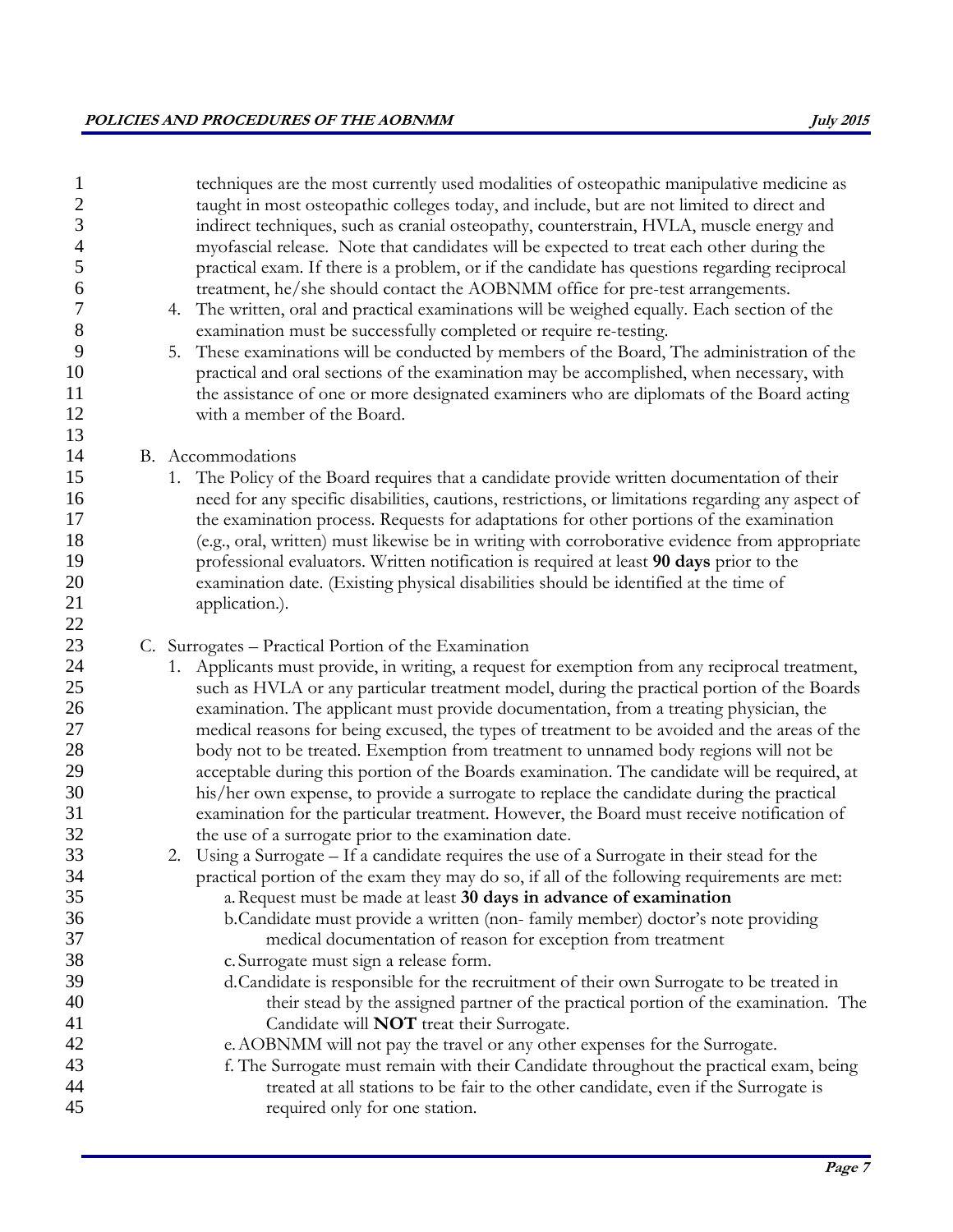| $\mathbf{1}$<br>$\overline{c}$<br>3<br>$\overline{4}$<br>5<br>6<br>$\overline{7}$<br>$8\,$<br>9<br>10<br>11<br>12<br>13 | techniques are the most currently used modalities of osteopathic manipulative medicine as<br>taught in most osteopathic colleges today, and include, but are not limited to direct and<br>indirect techniques, such as cranial osteopathy, counterstrain, HVLA, muscle energy and<br>myofascial release. Note that candidates will be expected to treat each other during the<br>practical exam. If there is a problem, or if the candidate has questions regarding reciprocal<br>treatment, he/she should contact the AOBNMM office for pre-test arrangements.<br>4. The written, oral and practical examinations will be weighed equally. Each section of the<br>examination must be successfully completed or require re-testing.<br>These examinations will be conducted by members of the Board, The administration of the<br>5.<br>practical and oral sections of the examination may be accomplished, when necessary, with<br>the assistance of one or more designated examiners who are diplomats of the Board acting<br>with a member of the Board. |
|-------------------------------------------------------------------------------------------------------------------------|--------------------------------------------------------------------------------------------------------------------------------------------------------------------------------------------------------------------------------------------------------------------------------------------------------------------------------------------------------------------------------------------------------------------------------------------------------------------------------------------------------------------------------------------------------------------------------------------------------------------------------------------------------------------------------------------------------------------------------------------------------------------------------------------------------------------------------------------------------------------------------------------------------------------------------------------------------------------------------------------------------------------------------------------------------------|
| 14                                                                                                                      | B. Accommodations                                                                                                                                                                                                                                                                                                                                                                                                                                                                                                                                                                                                                                                                                                                                                                                                                                                                                                                                                                                                                                            |
| 15                                                                                                                      | 1. The Policy of the Board requires that a candidate provide written documentation of their                                                                                                                                                                                                                                                                                                                                                                                                                                                                                                                                                                                                                                                                                                                                                                                                                                                                                                                                                                  |
| 16                                                                                                                      | need for any specific disabilities, cautions, restrictions, or limitations regarding any aspect of                                                                                                                                                                                                                                                                                                                                                                                                                                                                                                                                                                                                                                                                                                                                                                                                                                                                                                                                                           |
| 17<br>18                                                                                                                | the examination process. Requests for adaptations for other portions of the examination                                                                                                                                                                                                                                                                                                                                                                                                                                                                                                                                                                                                                                                                                                                                                                                                                                                                                                                                                                      |
| 19                                                                                                                      | (e.g., oral, written) must likewise be in writing with corroborative evidence from appropriate<br>professional evaluators. Written notification is required at least 90 days prior to the                                                                                                                                                                                                                                                                                                                                                                                                                                                                                                                                                                                                                                                                                                                                                                                                                                                                    |
| 20                                                                                                                      | examination date. (Existing physical disabilities should be identified at the time of                                                                                                                                                                                                                                                                                                                                                                                                                                                                                                                                                                                                                                                                                                                                                                                                                                                                                                                                                                        |
| 21                                                                                                                      | application.).                                                                                                                                                                                                                                                                                                                                                                                                                                                                                                                                                                                                                                                                                                                                                                                                                                                                                                                                                                                                                                               |
| 22                                                                                                                      |                                                                                                                                                                                                                                                                                                                                                                                                                                                                                                                                                                                                                                                                                                                                                                                                                                                                                                                                                                                                                                                              |
| 23                                                                                                                      | C. Surrogates - Practical Portion of the Examination                                                                                                                                                                                                                                                                                                                                                                                                                                                                                                                                                                                                                                                                                                                                                                                                                                                                                                                                                                                                         |
| 24<br>25                                                                                                                | Applicants must provide, in writing, a request for exemption from any reciprocal treatment,<br>1.<br>such as HVLA or any particular treatment model, during the practical portion of the Boards                                                                                                                                                                                                                                                                                                                                                                                                                                                                                                                                                                                                                                                                                                                                                                                                                                                              |
| 26                                                                                                                      | examination. The applicant must provide documentation, from a treating physician, the                                                                                                                                                                                                                                                                                                                                                                                                                                                                                                                                                                                                                                                                                                                                                                                                                                                                                                                                                                        |
| $27\,$                                                                                                                  | medical reasons for being excused, the types of treatment to be avoided and the areas of the                                                                                                                                                                                                                                                                                                                                                                                                                                                                                                                                                                                                                                                                                                                                                                                                                                                                                                                                                                 |
| 28                                                                                                                      | body not to be treated. Exemption from treatment to unnamed body regions will not be                                                                                                                                                                                                                                                                                                                                                                                                                                                                                                                                                                                                                                                                                                                                                                                                                                                                                                                                                                         |
| 29                                                                                                                      | acceptable during this portion of the Boards examination. The candidate will be required, at                                                                                                                                                                                                                                                                                                                                                                                                                                                                                                                                                                                                                                                                                                                                                                                                                                                                                                                                                                 |
| 30<br>31                                                                                                                | his/her own expense, to provide a surrogate to replace the candidate during the practical<br>examination for the particular treatment. However, the Board must receive notification of                                                                                                                                                                                                                                                                                                                                                                                                                                                                                                                                                                                                                                                                                                                                                                                                                                                                       |
| 32                                                                                                                      | the use of a surrogate prior to the examination date.                                                                                                                                                                                                                                                                                                                                                                                                                                                                                                                                                                                                                                                                                                                                                                                                                                                                                                                                                                                                        |
| 33                                                                                                                      | 2. Using a Surrogate – If a candidate requires the use of a Surrogate in their stead for the                                                                                                                                                                                                                                                                                                                                                                                                                                                                                                                                                                                                                                                                                                                                                                                                                                                                                                                                                                 |
| 34                                                                                                                      | practical portion of the exam they may do so, if all of the following requirements are met:                                                                                                                                                                                                                                                                                                                                                                                                                                                                                                                                                                                                                                                                                                                                                                                                                                                                                                                                                                  |
| 35                                                                                                                      | a. Request must be made at least 30 days in advance of examination                                                                                                                                                                                                                                                                                                                                                                                                                                                                                                                                                                                                                                                                                                                                                                                                                                                                                                                                                                                           |
| 36                                                                                                                      | b. Candidate must provide a written (non-family member) doctor's note providing                                                                                                                                                                                                                                                                                                                                                                                                                                                                                                                                                                                                                                                                                                                                                                                                                                                                                                                                                                              |
| 37<br>38                                                                                                                | medical documentation of reason for exception from treatment<br>c. Surrogate must sign a release form.                                                                                                                                                                                                                                                                                                                                                                                                                                                                                                                                                                                                                                                                                                                                                                                                                                                                                                                                                       |
| 39                                                                                                                      | d.Candidate is responsible for the recruitment of their own Surrogate to be treated in                                                                                                                                                                                                                                                                                                                                                                                                                                                                                                                                                                                                                                                                                                                                                                                                                                                                                                                                                                       |
| 40                                                                                                                      | their stead by the assigned partner of the practical portion of the examination. The                                                                                                                                                                                                                                                                                                                                                                                                                                                                                                                                                                                                                                                                                                                                                                                                                                                                                                                                                                         |
| 41                                                                                                                      | Candidate will <b>NOT</b> treat their Surrogate.                                                                                                                                                                                                                                                                                                                                                                                                                                                                                                                                                                                                                                                                                                                                                                                                                                                                                                                                                                                                             |
| 42                                                                                                                      | e. AOBNMM will not pay the travel or any other expenses for the Surrogate.                                                                                                                                                                                                                                                                                                                                                                                                                                                                                                                                                                                                                                                                                                                                                                                                                                                                                                                                                                                   |
| 43                                                                                                                      | f. The Surrogate must remain with their Candidate throughout the practical exam, being                                                                                                                                                                                                                                                                                                                                                                                                                                                                                                                                                                                                                                                                                                                                                                                                                                                                                                                                                                       |
| 44                                                                                                                      | treated at all stations to be fair to the other candidate, even if the Surrogate is                                                                                                                                                                                                                                                                                                                                                                                                                                                                                                                                                                                                                                                                                                                                                                                                                                                                                                                                                                          |
| 45                                                                                                                      | required only for one station.                                                                                                                                                                                                                                                                                                                                                                                                                                                                                                                                                                                                                                                                                                                                                                                                                                                                                                                                                                                                                               |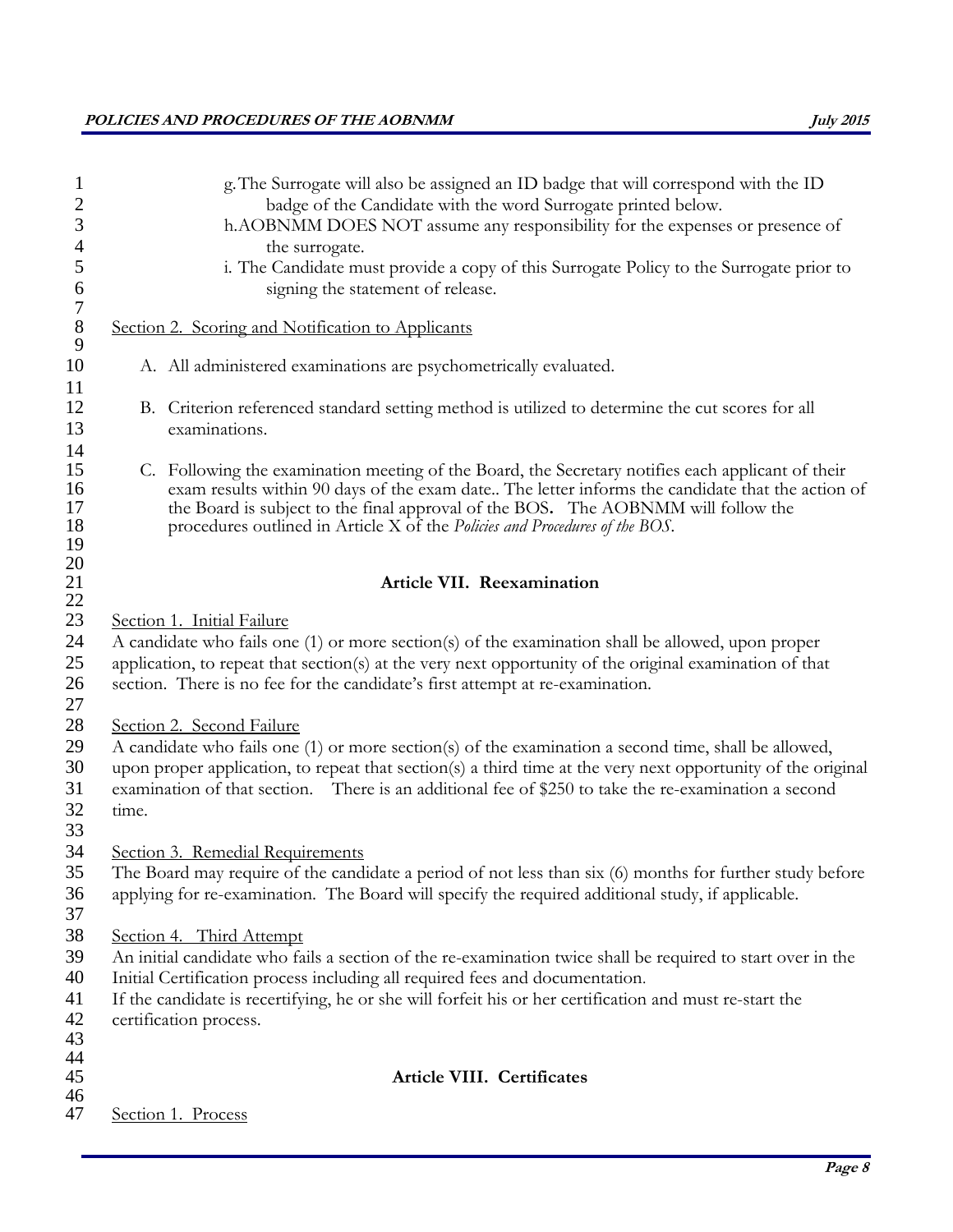# **POLICIES AND PROCEDURES OF THE AOBNMM July 2015**

|       | g. The Surrogate will also be assigned an ID badge that will correspond with the ID<br>badge of the Candidate with the word Surrogate printed below.<br>h.AOBNMM DOES NOT assume any responsibility for the expenses or presence of<br>the surrogate.                                                                                                                     |
|-------|---------------------------------------------------------------------------------------------------------------------------------------------------------------------------------------------------------------------------------------------------------------------------------------------------------------------------------------------------------------------------|
|       | i. The Candidate must provide a copy of this Surrogate Policy to the Surrogate prior to<br>signing the statement of release.                                                                                                                                                                                                                                              |
|       | Section 2. Scoring and Notification to Applicants                                                                                                                                                                                                                                                                                                                         |
|       | A. All administered examinations are psychometrically evaluated.                                                                                                                                                                                                                                                                                                          |
|       | B. Criterion referenced standard setting method is utilized to determine the cut scores for all<br>examinations.                                                                                                                                                                                                                                                          |
|       | C. Following the examination meeting of the Board, the Secretary notifies each applicant of their<br>exam results within 90 days of the exam date The letter informs the candidate that the action of<br>the Board is subject to the final approval of the BOS. The AOBNMM will follow the<br>procedures outlined in Article X of the Policies and Procedures of the BOS. |
|       | Article VII. Reexamination                                                                                                                                                                                                                                                                                                                                                |
|       | Section 1. Initial Failure                                                                                                                                                                                                                                                                                                                                                |
|       | A candidate who fails one (1) or more section(s) of the examination shall be allowed, upon proper                                                                                                                                                                                                                                                                         |
|       | application, to repeat that section(s) at the very next opportunity of the original examination of that<br>section. There is no fee for the candidate's first attempt at re-examination.                                                                                                                                                                                  |
|       | Section 2. Second Failure                                                                                                                                                                                                                                                                                                                                                 |
|       | A candidate who fails one (1) or more section(s) of the examination a second time, shall be allowed,                                                                                                                                                                                                                                                                      |
| time. | upon proper application, to repeat that section(s) a third time at the very next opportunity of the original<br>examination of that section. There is an additional fee of \$250 to take the re-examination a second                                                                                                                                                      |
|       |                                                                                                                                                                                                                                                                                                                                                                           |
|       | Section 3. Remedial Requirements                                                                                                                                                                                                                                                                                                                                          |
|       | The Board may require of the candidate a period of not less than six (6) months for further study before                                                                                                                                                                                                                                                                  |
|       | applying for re-examination. The Board will specify the required additional study, if applicable.                                                                                                                                                                                                                                                                         |
|       |                                                                                                                                                                                                                                                                                                                                                                           |
|       | Section 4. Third Attempt                                                                                                                                                                                                                                                                                                                                                  |
|       | An initial candidate who fails a section of the re-examination twice shall be required to start over in the                                                                                                                                                                                                                                                               |
|       | Initial Certification process including all required fees and documentation.                                                                                                                                                                                                                                                                                              |
|       | If the candidate is recertifying, he or she will forfeit his or her certification and must re-start the                                                                                                                                                                                                                                                                   |
|       | certification process.                                                                                                                                                                                                                                                                                                                                                    |
|       |                                                                                                                                                                                                                                                                                                                                                                           |
|       | Article VIII. Certificates                                                                                                                                                                                                                                                                                                                                                |
|       |                                                                                                                                                                                                                                                                                                                                                                           |
|       | Section 1. Process                                                                                                                                                                                                                                                                                                                                                        |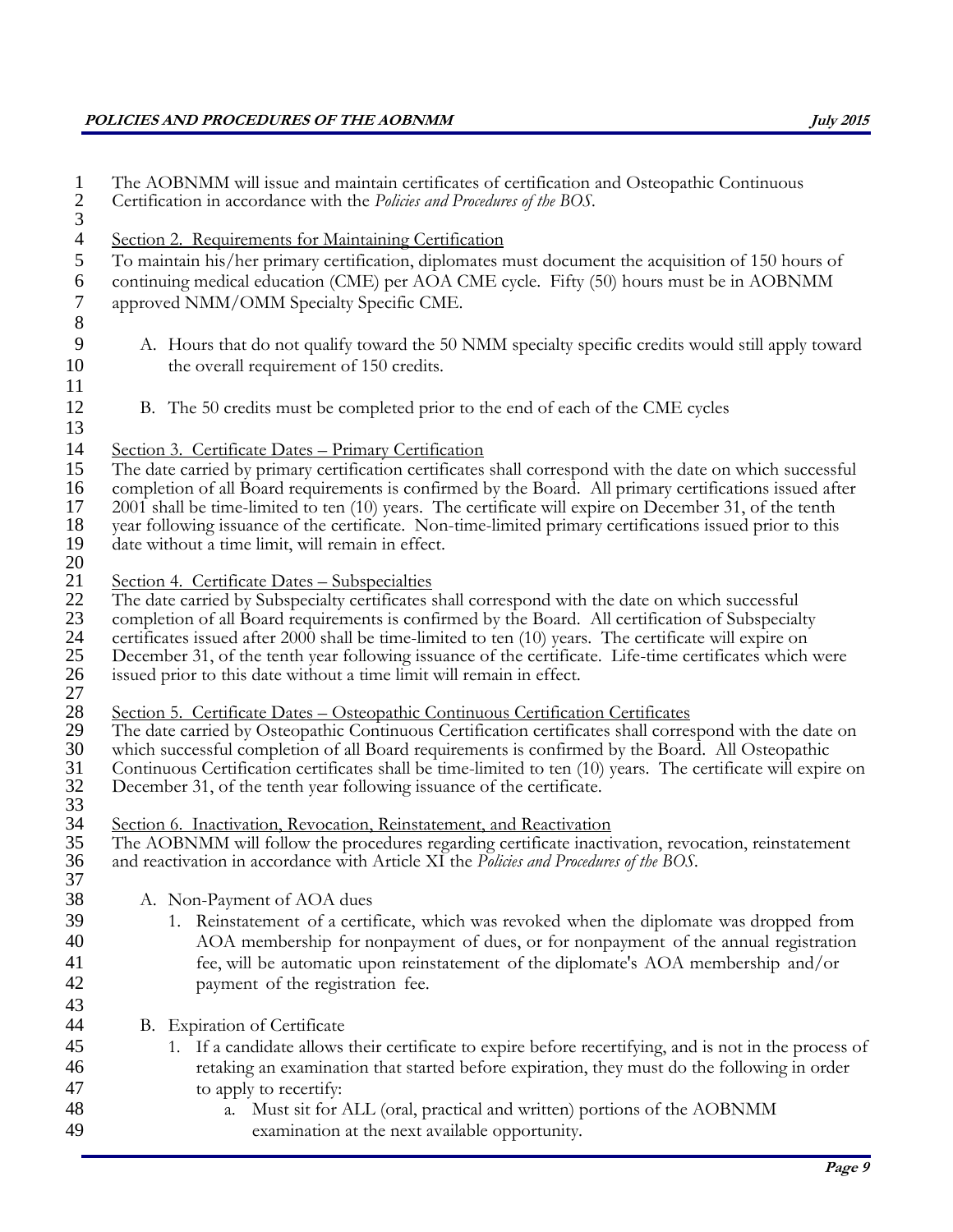# **POLICIES AND PROCEDURES OF THE AOBNMM July 2015**

| $\mathbf{1}$   | The AOBNMM will issue and maintain certificates of certification and Osteopathic Continuous<br>Certification in accordance with the Policies and Procedures of the BOS.                                           |
|----------------|-------------------------------------------------------------------------------------------------------------------------------------------------------------------------------------------------------------------|
| $rac{2}{3}$    |                                                                                                                                                                                                                   |
| $\overline{4}$ | Section 2. Requirements for Maintaining Certification                                                                                                                                                             |
| $\mathfrak{S}$ | To maintain his/her primary certification, diplomates must document the acquisition of 150 hours of                                                                                                               |
| $\sqrt{6}$     | continuing medical education (CME) per AOA CME cycle. Fifty (50) hours must be in AOBNMM                                                                                                                          |
| $\overline{7}$ | approved NMM/OMM Specialty Specific CME.                                                                                                                                                                          |
| $\,8\,$        |                                                                                                                                                                                                                   |
| 9              | A. Hours that do not qualify toward the 50 NMM specialty specific credits would still apply toward                                                                                                                |
| 10             | the overall requirement of 150 credits.                                                                                                                                                                           |
| 11             |                                                                                                                                                                                                                   |
| 12             | B. The 50 credits must be completed prior to the end of each of the CME cycles                                                                                                                                    |
| 13             |                                                                                                                                                                                                                   |
| 14             | Section 3. Certificate Dates - Primary Certification                                                                                                                                                              |
| 15             | The date carried by primary certification certificates shall correspond with the date on which successful                                                                                                         |
| 16             | completion of all Board requirements is confirmed by the Board. All primary certifications issued after                                                                                                           |
| 17             | 2001 shall be time-limited to ten (10) years. The certificate will expire on December 31, of the tenth                                                                                                            |
| 18             | year following issuance of the certificate. Non-time-limited primary certifications issued prior to this                                                                                                          |
| 19             | date without a time limit, will remain in effect.                                                                                                                                                                 |
| 20             |                                                                                                                                                                                                                   |
| 21<br>22       | Section 4. Certificate Dates - Subspecialties<br>The date carried by Subspecialty certificates shall correspond with the date on which successful                                                                 |
| 23             | completion of all Board requirements is confirmed by the Board. All certification of Subspecialty                                                                                                                 |
| 24             | certificates issued after 2000 shall be time-limited to ten (10) years. The certificate will expire on                                                                                                            |
| 25             | December 31, of the tenth year following issuance of the certificate. Life-time certificates which were                                                                                                           |
| 26             | issued prior to this date without a time limit will remain in effect.                                                                                                                                             |
| 27             |                                                                                                                                                                                                                   |
| 28             | Section 5. Certificate Dates - Osteopathic Continuous Certification Certificates                                                                                                                                  |
| 29             | The date carried by Osteopathic Continuous Certification certificates shall correspond with the date on                                                                                                           |
| 30             | which successful completion of all Board requirements is confirmed by the Board. All Osteopathic<br>Continuous Certification certificates shall be time-limited to ten (10) years. The certificate will expire on |
| 31<br>32       | December 31, of the tenth year following issuance of the certificate.                                                                                                                                             |
| 33             |                                                                                                                                                                                                                   |
| 34             | Section 6. Inactivation, Revocation, Reinstatement, and Reactivation                                                                                                                                              |
| 35             | The AOBNMM will follow the procedures regarding certificate inactivation, revocation, reinstatement                                                                                                               |
| 36             | and reactivation in accordance with Article XI the Policies and Procedures of the BOS.                                                                                                                            |
| 37             |                                                                                                                                                                                                                   |
| 38             | A. Non-Payment of AOA dues                                                                                                                                                                                        |
| 39             | 1. Reinstatement of a certificate, which was revoked when the diplomate was dropped from                                                                                                                          |
| 40             | AOA membership for nonpayment of dues, or for nonpayment of the annual registration                                                                                                                               |
| 41             | fee, will be automatic upon reinstatement of the diplomate's AOA membership and/or                                                                                                                                |
| 42             | payment of the registration fee.                                                                                                                                                                                  |
| 43             |                                                                                                                                                                                                                   |
| 44             | B. Expiration of Certificate                                                                                                                                                                                      |
| 45             | 1. If a candidate allows their certificate to expire before recertifying, and is not in the process of                                                                                                            |
| 46             | retaking an examination that started before expiration, they must do the following in order                                                                                                                       |
| 47             | to apply to recertify:                                                                                                                                                                                            |
| 48             | a. Must sit for ALL (oral, practical and written) portions of the AOBNMM                                                                                                                                          |
| 49             | examination at the next available opportunity.                                                                                                                                                                    |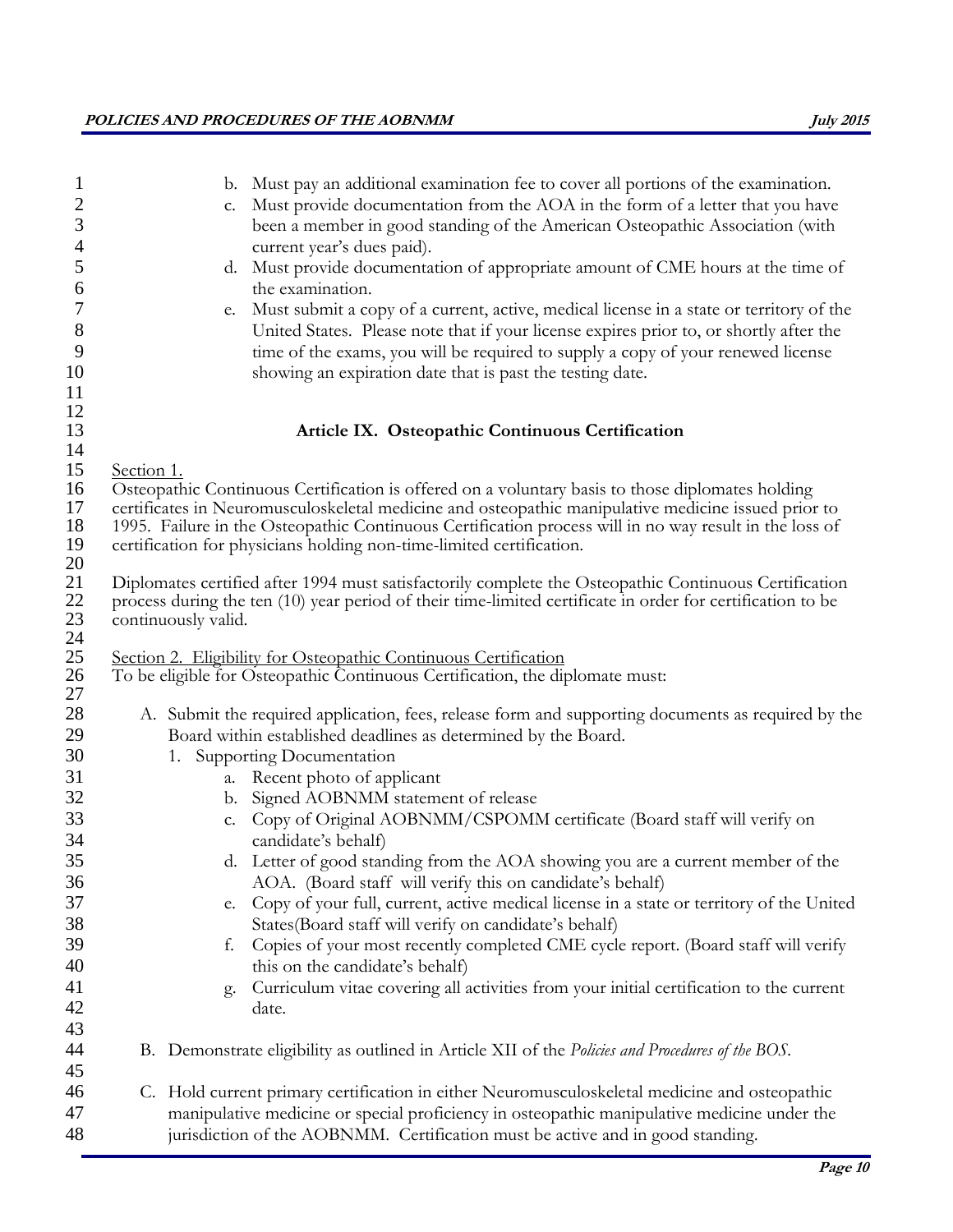| 1                | b. Must pay an additional examination fee to cover all portions of the examination.                                                                                            |
|------------------|--------------------------------------------------------------------------------------------------------------------------------------------------------------------------------|
| $\overline{2}$   | Must provide documentation from the AOA in the form of a letter that you have<br>c.                                                                                            |
| $\mathfrak{Z}$   | been a member in good standing of the American Osteopathic Association (with                                                                                                   |
| $\overline{4}$   | current year's dues paid).                                                                                                                                                     |
| 5                | d. Must provide documentation of appropriate amount of CME hours at the time of                                                                                                |
| 6                | the examination.                                                                                                                                                               |
| $\boldsymbol{7}$ | Must submit a copy of a current, active, medical license in a state or territory of the<br>e.                                                                                  |
| $8\,$            | United States. Please note that if your license expires prior to, or shortly after the                                                                                         |
| 9                | time of the exams, you will be required to supply a copy of your renewed license                                                                                               |
| 10<br>11         | showing an expiration date that is past the testing date.                                                                                                                      |
| 12               |                                                                                                                                                                                |
| 13               | Article IX. Osteopathic Continuous Certification                                                                                                                               |
| 14               |                                                                                                                                                                                |
| 15               | Section 1.                                                                                                                                                                     |
| 16               | Osteopathic Continuous Certification is offered on a voluntary basis to those diplomates holding                                                                               |
| 17<br>18         | certificates in Neuromusculoskeletal medicine and osteopathic manipulative medicine issued prior to                                                                            |
| 19               | 1995. Failure in the Osteopathic Continuous Certification process will in no way result in the loss of<br>certification for physicians holding non-time-limited certification. |
| 20               |                                                                                                                                                                                |
| 21               | Diplomates certified after 1994 must satisfactorily complete the Osteopathic Continuous Certification                                                                          |
| 22               | process during the ten (10) year period of their time-limited certificate in order for certification to be                                                                     |
| $23\,$           | continuously valid.                                                                                                                                                            |
| 24<br>25         | Section 2. Eligibility for Osteopathic Continuous Certification                                                                                                                |
| 26               | To be eligible for Osteopathic Continuous Certification, the diplomate must:                                                                                                   |
| 27               |                                                                                                                                                                                |
| 28               | A. Submit the required application, fees, release form and supporting documents as required by the                                                                             |
| 29               | Board within established deadlines as determined by the Board.                                                                                                                 |
| 30               | 1. Supporting Documentation                                                                                                                                                    |
| 31               | a. Recent photo of applicant                                                                                                                                                   |
| 32               | b. Signed AOBNMM statement of release                                                                                                                                          |
| 33               | Copy of Original AOBNMM/CSPOMM certificate (Board staff will verify on<br>C.                                                                                                   |
| 34               | candidate's behalf)                                                                                                                                                            |
| 35               | d. Letter of good standing from the AOA showing you are a current member of the                                                                                                |
| 36               | AOA. (Board staff will verify this on candidate's behalf)                                                                                                                      |
| 37               | Copy of your full, current, active medical license in a state or territory of the United<br>e.                                                                                 |
| 38               | States(Board staff will verify on candidate's behalf)                                                                                                                          |
| 39               | Copies of your most recently completed CME cycle report. (Board staff will verify<br>f.                                                                                        |
| 40               | this on the candidate's behalf)                                                                                                                                                |
| 41<br>42         | Curriculum vitae covering all activities from your initial certification to the current<br>g.<br>date.                                                                         |
| 43               |                                                                                                                                                                                |
| 44               | B. Demonstrate eligibility as outlined in Article XII of the <i>Policies and Procedures of the BOS</i> .                                                                       |
| 45               |                                                                                                                                                                                |
| 46               | C. Hold current primary certification in either Neuromusculoskeletal medicine and osteopathic                                                                                  |
| 47               | manipulative medicine or special proficiency in osteopathic manipulative medicine under the                                                                                    |
| 48               | jurisdiction of the AOBNMM. Certification must be active and in good standing.                                                                                                 |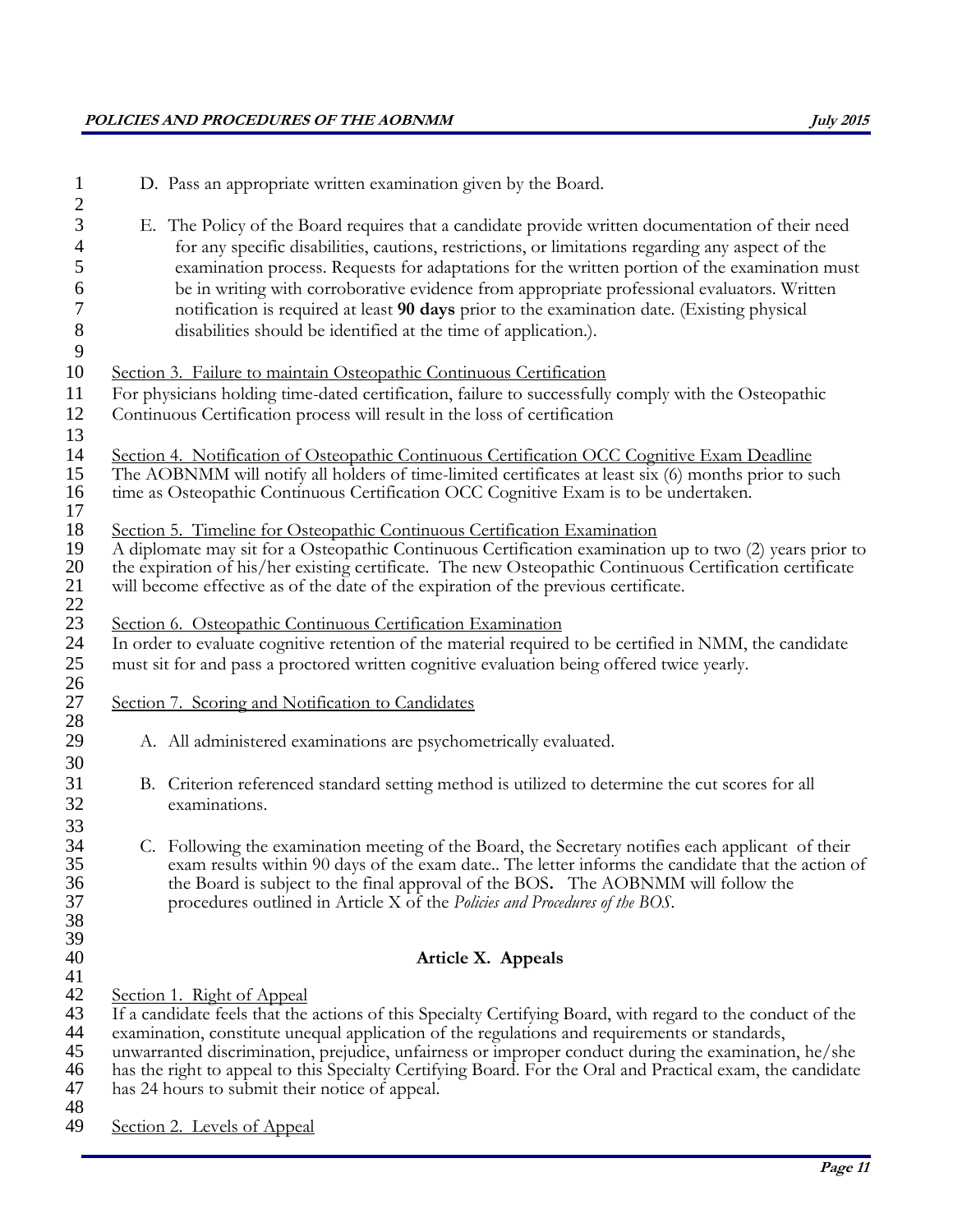| 1<br>$\overline{c}$ | D. Pass an appropriate written examination given by the Board.                                              |
|---------------------|-------------------------------------------------------------------------------------------------------------|
| 3                   | E. The Policy of the Board requires that a candidate provide written documentation of their need            |
| $\overline{4}$      | for any specific disabilities, cautions, restrictions, or limitations regarding any aspect of the           |
| 5                   | examination process. Requests for adaptations for the written portion of the examination must               |
| 6                   | be in writing with corroborative evidence from appropriate professional evaluators. Written                 |
| 7                   | notification is required at least 90 days prior to the examination date. (Existing physical                 |
| $\,8\,$             | disabilities should be identified at the time of application.).                                             |
| 9                   |                                                                                                             |
| 10                  | Section 3. Failure to maintain Osteopathic Continuous Certification                                         |
| 11                  | For physicians holding time-dated certification, failure to successfully comply with the Osteopathic        |
| 12                  | Continuous Certification process will result in the loss of certification                                   |
| 13                  |                                                                                                             |
| 14                  | Section 4. Notification of Osteopathic Continuous Certification OCC Cognitive Exam Deadline                 |
| 15                  | The AOBNMM will notify all holders of time-limited certificates at least six (6) months prior to such       |
| 16                  | time as Osteopathic Continuous Certification OCC Cognitive Exam is to be undertaken.                        |
| 17<br>18            | Section 5. Timeline for Osteopathic Continuous Certification Examination                                    |
| 19                  | A diplomate may sit for a Osteopathic Continuous Certification examination up to two (2) years prior to     |
| 20                  | the expiration of his/her existing certificate. The new Osteopathic Continuous Certification certificate    |
| 21                  | will become effective as of the date of the expiration of the previous certificate.                         |
| 22                  |                                                                                                             |
| 23                  | Section 6. Osteopathic Continuous Certification Examination                                                 |
| 24                  | In order to evaluate cognitive retention of the material required to be certified in NMM, the candidate     |
| 25<br>26            | must sit for and pass a proctored written cognitive evaluation being offered twice yearly.                  |
| 27                  | Section 7. Scoring and Notification to Candidates                                                           |
| 28                  |                                                                                                             |
| 29                  | A. All administered examinations are psychometrically evaluated.                                            |
| 30                  |                                                                                                             |
| 31                  | B. Criterion referenced standard setting method is utilized to determine the cut scores for all             |
| 32                  | examinations.                                                                                               |
| 33<br>34            | C. Following the examination meeting of the Board, the Secretary notifies each applicant of their           |
| 35                  | exam results within 90 days of the exam date The letter informs the candidate that the action of            |
| 36                  | the Board is subject to the final approval of the BOS. The AOBNMM will follow the                           |
| 37                  | procedures outlined in Article X of the Policies and Procedures of the BOS.                                 |
| 38                  |                                                                                                             |
| 39                  |                                                                                                             |
| 40<br>41            | Article X. Appeals                                                                                          |
| 42                  | Section 1. Right of Appeal                                                                                  |
| 43                  | If a candidate feels that the actions of this Specialty Certifying Board, with regard to the conduct of the |
| 44                  | examination, constitute unequal application of the regulations and requirements or standards,               |
| 45                  | unwarranted discrimination, prejudice, unfairness or improper conduct during the examination, he/she        |
| 46                  | has the right to appeal to this Specialty Certifying Board. For the Oral and Practical exam, the candidate  |
| 47<br>48            | has 24 hours to submit their notice of appeal.                                                              |
| 49                  | Section 2. Levels of Appeal                                                                                 |
|                     |                                                                                                             |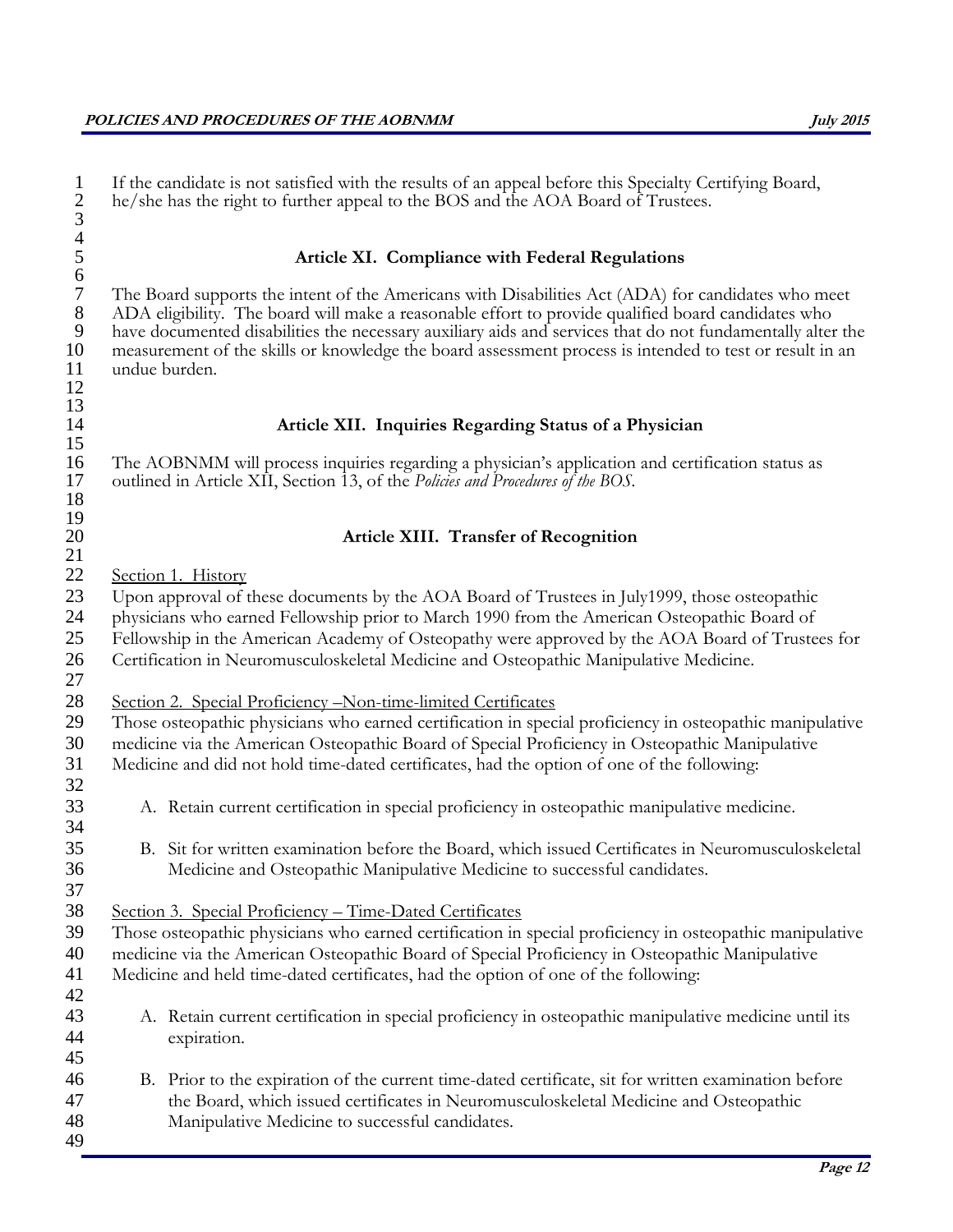| $\mathbf{1}$<br>$rac{2}{3}$    | If the candidate is not satisfied with the results of an appeal before this Specialty Certifying Board,<br>he/she has the right to further appeal to the BOS and the AOA Board of Trustees.                                                                                                                                                                                                                                                        |
|--------------------------------|----------------------------------------------------------------------------------------------------------------------------------------------------------------------------------------------------------------------------------------------------------------------------------------------------------------------------------------------------------------------------------------------------------------------------------------------------|
| $\frac{4}{5}$<br>6 7           | Article XI. Compliance with Federal Regulations                                                                                                                                                                                                                                                                                                                                                                                                    |
| $\,8\,$<br>9<br>10<br>11<br>12 | The Board supports the intent of the Americans with Disabilities Act (ADA) for candidates who meet<br>ADA eligibility. The board will make a reasonable effort to provide qualified board candidates who<br>have documented disabilities the necessary auxiliary aids and services that do not fundamentally alter the<br>measurement of the skills or knowledge the board assessment process is intended to test or result in an<br>undue burden. |
| 13<br>14                       | Article XII. Inquiries Regarding Status of a Physician                                                                                                                                                                                                                                                                                                                                                                                             |
| 15<br>16<br>17<br>18           | The AOBNMM will process inquiries regarding a physician's application and certification status as<br>outlined in Article XII, Section 13, of the Policies and Procedures of the BOS.                                                                                                                                                                                                                                                               |
| 19<br>20                       | <b>Article XIII. Transfer of Recognition</b>                                                                                                                                                                                                                                                                                                                                                                                                       |
| 21<br>22                       |                                                                                                                                                                                                                                                                                                                                                                                                                                                    |
| 23<br>24<br>25<br>26<br>27     | Section 1. History<br>Upon approval of these documents by the AOA Board of Trustees in July1999, those osteopathic<br>physicians who earned Fellowship prior to March 1990 from the American Osteopathic Board of<br>Fellowship in the American Academy of Osteopathy were approved by the AOA Board of Trustees for<br>Certification in Neuromusculoskeletal Medicine and Osteopathic Manipulative Medicine.                                      |
| 28<br>29<br>30<br>31<br>32     | Section 2. Special Proficiency - Non-time-limited Certificates<br>Those osteopathic physicians who earned certification in special proficiency in osteopathic manipulative<br>medicine via the American Osteopathic Board of Special Proficiency in Osteopathic Manipulative<br>Medicine and did not hold time-dated certificates, had the option of one of the following:                                                                         |
| 33<br>34                       | A. Retain current certification in special proficiency in osteopathic manipulative medicine.                                                                                                                                                                                                                                                                                                                                                       |
| 35<br>36<br>37                 | B. Sit for written examination before the Board, which issued Certificates in Neuromusculoskeletal<br>Medicine and Osteopathic Manipulative Medicine to successful candidates.                                                                                                                                                                                                                                                                     |
| 38                             | Section 3. Special Proficiency - Time-Dated Certificates                                                                                                                                                                                                                                                                                                                                                                                           |
| 39                             | Those osteopathic physicians who earned certification in special proficiency in osteopathic manipulative                                                                                                                                                                                                                                                                                                                                           |
| 40<br>41<br>42                 | medicine via the American Osteopathic Board of Special Proficiency in Osteopathic Manipulative<br>Medicine and held time-dated certificates, had the option of one of the following:                                                                                                                                                                                                                                                               |
| 43<br>44<br>45                 | A. Retain current certification in special proficiency in osteopathic manipulative medicine until its<br>expiration.                                                                                                                                                                                                                                                                                                                               |
| 46<br>47<br>48<br>49           | B. Prior to the expiration of the current time-dated certificate, sit for written examination before<br>the Board, which issued certificates in Neuromusculoskeletal Medicine and Osteopathic<br>Manipulative Medicine to successful candidates.                                                                                                                                                                                                   |